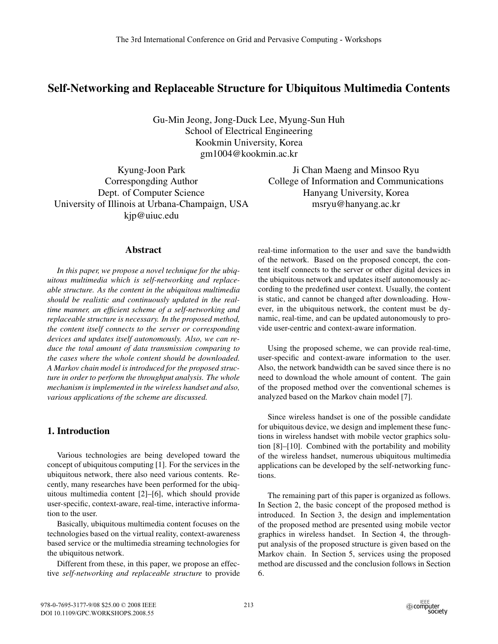# **Self-Networking and Replaceable Structure for Ubiquitous Multimedia Contents**

Gu-Min Jeong, Jong-Duck Lee, Myung-Sun Huh School of Electrical Engineering Kookmin University, Korea gm1004@kookmin.ac.kr

Kyung-Joon Park Correspongding Author Dept. of Computer Science University of Illinois at Urbana-Champaign, USA kjp@uiuc.edu

Ji Chan Maeng and Minsoo Ryu College of Information and Communications Hanyang University, Korea msryu@hanyang.ac.kr

## **Abstract**

*In this paper, we propose a novel technique for the ubiquitous multimedia which is self-networking and replaceable structure. As the content in the ubiquitous multimedia should be realistic and continuously updated in the realtime manner, an efficient scheme of a self-networking and replaceable structure is necessary. In the proposed method, the content itself connects to the server or corresponding devices and updates itself autonomously. Also, we can reduce the total amount of data transmission comparing to the cases where the whole content should be downloaded. A Markov chain model is introduced for the proposed structure in order to perform the throughput analysis. The whole mechanism is implemented in the wireless handset and also, various applications of the scheme are discussed.*

## **1. Introduction**

Various technologies are being developed toward the concept of ubiquitous computing [1]. For the services in the ubiquitous network, there also need various contents. Recently, many researches have been performed for the ubiquitous multimedia content [2]–[6], which should provide user-specific, context-aware, real-time, interactive information to the user.

Basically, ubiquitous multimedia content focuses on the technologies based on the virtual reality, context-awareness based service or the multimedia streaming technologies for the ubiquitous network.

Different from these, in this paper, we propose an effective *self-networking and replaceable structure* to provide

real-time information to the user and save the bandwidth of the network. Based on the proposed concept, the content itself connects to the server or other digital devices in the ubiquitous network and updates itself autonomously according to the predefined user context. Usually, the content is static, and cannot be changed after downloading. However, in the ubiquitous network, the content must be dynamic, real-time, and can be updated autonomously to provide user-centric and context-aware information.

Using the proposed scheme, we can provide real-time, user-specific and context-aware information to the user. Also, the network bandwidth can be saved since there is no need to download the whole amount of content. The gain of the proposed method over the conventional schemes is analyzed based on the Markov chain model [7].

Since wireless handset is one of the possible candidate for ubiquitous device, we design and implement these functions in wireless handset with mobile vector graphics solution [8]–[10]. Combined with the portability and mobility of the wireless handset, numerous ubiquitous multimedia applications can be developed by the self-networking functions.

The remaining part of this paper is organized as follows. In Section 2, the basic concept of the proposed method is introduced. In Section 3, the design and implementation of the proposed method are presented using mobile vector graphics in wireless handset. In Section 4, the throughput analysis of the proposed structure is given based on the Markov chain. In Section 5, services using the proposed method are discussed and the conclusion follows in Section 6.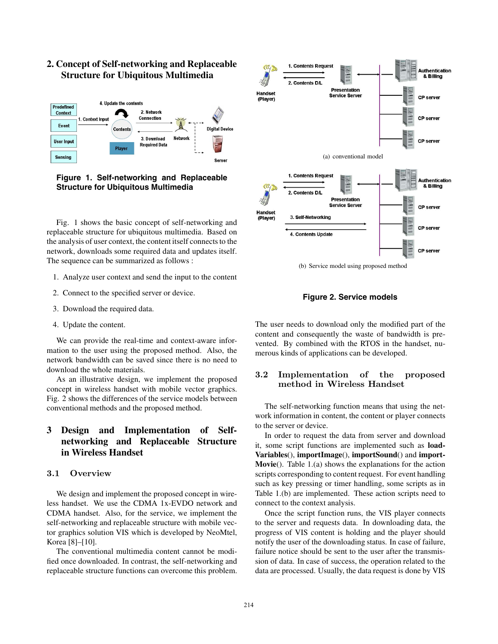

# **2. Concept of Self-networking and Replaceable Structure for Ubiquitous Multimedia**

**Figure 1. Self-networking and Replaceable Structure for Ubiquitous Multimedia**

Fig. 1 shows the basic concept of self-networking and replaceable structure for ubiquitous multimedia. Based on the analysis of user context, the content itself connects to the network, downloads some required data and updates itself. The sequence can be summarized as follows :

- 1. Analyze user context and send the input to the content
- 2. Connect to the specified server or device.
- 3. Download the required data.
- 4. Update the content.

We can provide the real-time and context-aware information to the user using the proposed method. Also, the network bandwidth can be saved since there is no need to download the whole materials.

As an illustrative design, we implement the proposed concept in wireless handset with mobile vector graphics. Fig. 2 shows the differences of the service models between conventional methods and the proposed method.

# **3 Design and Implementation of Selfnetworking and Replaceable Structure in Wireless Handset**

### **3.1 Overview**

We design and implement the proposed concept in wireless handset. We use the CDMA 1x-EVDO network and CDMA handset. Also, for the service, we implement the self-networking and replaceable structure with mobile vector graphics solution VIS which is developed by NeoMtel, Korea [8]–[10].

The conventional multimedia content cannot be modified once downloaded. In contrast, the self-networking and replaceable structure functions can overcome this problem.



(b) Service model using proposed method

**Figure 2. Service models**

The user needs to download only the modified part of the content and consequently the waste of bandwidth is prevented. By combined with the RTOS in the handset, numerous kinds of applications can be developed.

## **3.2 Implementation of the proposed method in Wireless Handset**

The self-networking function means that using the network information in content, the content or player connects to the server or device.

In order to request the data from server and download it, some script functions are implemented such as **load-Variables**(), **importImage**(), **importSound**() and **import-Movie**(). Table 1.(a) shows the explanations for the action scripts corresponding to content request. For event handling such as key pressing or timer handling, some scripts as in Table 1.(b) are implemented. These action scripts need to connect to the context analysis.

Once the script function runs, the VIS player connects to the server and requests data. In downloading data, the progress of VIS content is holding and the player should notify the user of the downloading status. In case of failure, failure notice should be sent to the user after the transmission of data. In case of success, the operation related to the data are processed. Usually, the data request is done by VIS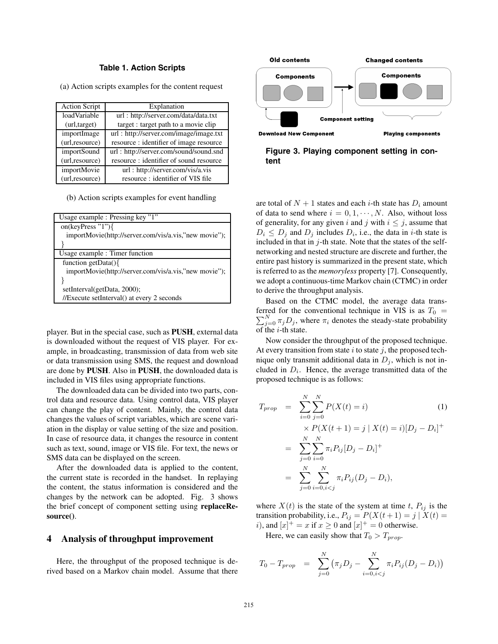#### **Table 1. Action Scripts**

(a) Action scripts examples for the content request

| <b>Action Script</b> | Explanation                            |
|----------------------|----------------------------------------|
| loadVariable         | url: http://server.com/data/data.txt   |
| (url, target)        | target : target path to a movie clip   |
| importImage          | url: http://server.com/image/image.txt |
| (url,resource)       | resource: identifier of image resource |
| <i>importSound</i>   | url: http://server.com/sound/sound.snd |
| (url, resource)      | resource: identifier of sound resource |
| importMovie          | url: http://server.com/vis/a.vis       |
| (url,resource)       | resource: identifier of VIS file       |

(b) Action scripts examples for event handling

| Usage example : Pressing key "1"                      |  |
|-------------------------------------------------------|--|
| on(keyPress "1") $\{$                                 |  |
| importMovie(http://server.com/vis/a.vis,"new movie"); |  |
|                                                       |  |
| Usage example : Timer function                        |  |
| function getData( $\{$                                |  |
| importMovie(http://server.com/vis/a.vis,"new movie"); |  |
|                                                       |  |
| setInterval(getData, 2000);                           |  |
| //Execute setInterval() at every 2 seconds            |  |

player. But in the special case, such as **PUSH**, external data is downloaded without the request of VIS player. For example, in broadcasting, transmission of data from web site or data transmission using SMS, the request and download are done by **PUSH**. Also in **PUSH**, the downloaded data is included in VIS files using appropriate functions.

The downloaded data can be divided into two parts, control data and resource data. Using control data, VIS player can change the play of content. Mainly, the control data changes the values of script variables, which are scene variation in the display or value setting of the size and position. In case of resource data, it changes the resource in content such as text, sound, image or VIS file. For text, the news or SMS data can be displayed on the screen.

After the downloaded data is applied to the content, the current state is recorded in the handset. In replaying the content, the status information is considered and the changes by the network can be adopted. Fig. 3 shows the brief concept of component setting using **replaceResource()**.

#### **4 Analysis of throughput improvement**

Here, the throughput of the proposed technique is derived based on a Markov chain model. Assume that there



**Figure 3. Playing component setting in content**

are total of  $N + 1$  states and each *i*-th state has  $D_i$  amount of data to send where  $i = 0, 1, \dots, N$ . Also, without loss of generality, for any given i and j with  $i \leq j$ , assume that  $D_i \leq D_j$  and  $D_j$  includes  $D_i$ , i.e., the data in *i*-th state is included in that in  $j$ -th state. Note that the states of the selfnetworking and nested structure are discrete and further, the entire past history is summarized in the present state, which is referred to as the *memoryless* property [7]. Consequently, we adopt a continuous-time Markov chain (CTMC) in order to derive the throughput analysis.

Based on the CTMC model, the average data transferred for the conventional technique in VIS is as  $T_0 = \nabla^N \times D$ , where  $\pi$  denotes the steady state probability  $\sum_{j=0}^{N} \pi_j D_j$ , where  $\pi_i$  denotes the steady-state probability of the  $i$ -th state.

Now consider the throughput of the proposed technique. At every transition from state  $i$  to state  $j$ , the proposed technique only transmit additional data in  $D_i$ , which is not included in D*i*. Hence, the average transmitted data of the proposed technique is as follows:

$$
T_{prop} = \sum_{i=0}^{N} \sum_{j=0}^{N} P(X(t) = i)
$$
(1)  

$$
\times P(X(t+1) = j | X(t) = i)[D_j - D_i]^{+}
$$
  

$$
= \sum_{j=0}^{N} \sum_{i=0}^{N} \pi_i P_{ij} [D_j - D_i]^{+}
$$
  

$$
= \sum_{j=0}^{N} \sum_{i=0, i < j}^{N} \pi_i P_{ij} (D_j - D_i),
$$

where  $X(t)$  is the state of the system at time t,  $P_{ij}$  is the transition probability, i.e.,  $P_{ij} = P(X(t+1) = j | X(t) =$ *i*), and  $[x]^+ = x$  if  $x \ge 0$  and  $[x]^+ = 0$  otherwise.

Here, we can easily show that  $T_0 > T_{prop}$ .

$$
T_0 - T_{prop} = \sum_{j=0}^{N} (\pi_j D_j - \sum_{i=0, i < j}^{N} \pi_i P_{ij} (D_j - D_i))
$$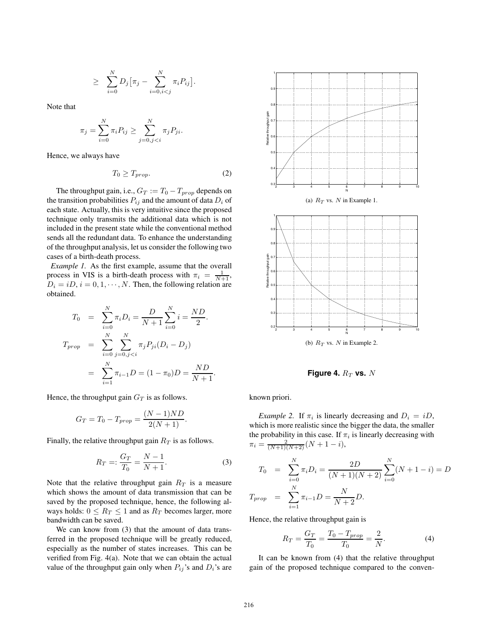$$
\geq \sum_{i=0}^N D_j \big[ \pi_j - \sum_{i=0,i
$$

Note that

$$
\pi_j = \sum_{i=0}^{N} \pi_i P_{ij} \ge \sum_{j=0, j < i}^{N} \pi_j P_{ji}.
$$

Hence, we always have

$$
T_0 \ge T_{prop}.\tag{2}
$$

The throughput gain, i.e.,  $G_T := T_0 - T_{prop}$  depends on the transition probabilities  $P_{ij}$  and the amount of data  $D_i$  of each state. Actually, this is very intuitive since the proposed technique only transmits the additional data which is not included in the present state while the conventional method sends all the redundant data. To enhance the understanding of the throughput analysis, let us consider the following two cases of a birth-death process.

*Example 1.* As the first example, assume that the overall process in VIS is a birth-death process with  $\pi_i = \frac{1}{N+1}$ ,  $D_i = iD, i = 0, 1, \dots, N$ . Then, the following relation are obtained.

$$
T_0 = \sum_{i=0}^{N} \pi_i D_i = \frac{D}{N+1} \sum_{i=0}^{N} i = \frac{ND}{2}.
$$
  
\n
$$
T_{prop} = \sum_{i=0}^{N} \sum_{j=0, j < i}^{N} \pi_j P_{ji} (D_i - D_j)
$$
  
\n
$$
= \sum_{i=1}^{N} \pi_{i-1} D = (1 - \pi_0) D = \frac{ND}{N+1}.
$$

Hence, the throughput gain  $G_T$  is as follows.

$$
G_T = T_0 - T_{prop} = \frac{(N-1)ND}{2(N+1)}.
$$

Finally, the relative throughput gain R*<sup>T</sup>* is as follows.

$$
R_T =: \frac{G_T}{T_0} = \frac{N-1}{N+1}.
$$
 (3)

Note that the relative throughput gain R*<sup>T</sup>* is a measure which shows the amount of data transmission that can be saved by the proposed technique, hence, the following always holds:  $0 \le R_T \le 1$  and as  $R_T$  becomes larger, more bandwidth can be saved.

We can know from (3) that the amount of data transferred in the proposed technique will be greatly reduced, especially as the number of states increases. This can be verified from Fig. 4(a). Note that we can obtain the actual value of the throughput gain only when  $P_{ij}$ 's and  $D_i$ 's are



**Figure 4.**  $R_T$  **vs.** N

known priori.

*Example 2.* If  $\pi_i$  is linearly decreasing and  $D_i = iD$ , which is more realistic since the bigger the data, the smaller the probability in this case. If  $\pi_i$  is linearly decreasing with  $\pi_i = \frac{2}{(N+1)(N+2)}(N+1-i),$ 

$$
T_0 = \sum_{i=0}^{N} \pi_i D_i = \frac{2D}{(N+1)(N+2)} \sum_{i=0}^{N} (N+1-i) = D
$$
  

$$
T_{prop} = \sum_{i=1}^{N} \pi_{i-1} D = \frac{N}{N+2} D.
$$

Hence, the relative throughput gain is

$$
R_T = \frac{G_T}{T_0} = \frac{T_0 - T_{prop}}{T_0} = \frac{2}{N}.
$$
 (4)

It can be known from (4) that the relative throughput gain of the proposed technique compared to the conven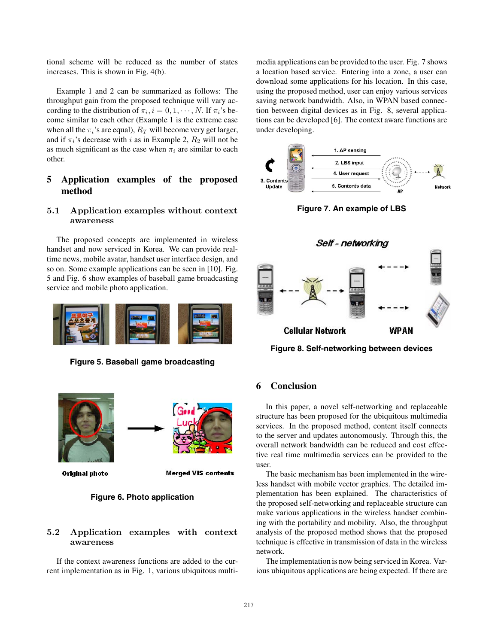tional scheme will be reduced as the number of states increases. This is shown in Fig. 4(b).

Example 1 and 2 can be summarized as follows: The throughput gain from the proposed technique will vary according to the distribution of  $\pi_i$ ,  $i = 0, 1, \dots, N$ . If  $\pi_i$ 's become similar to each other (Example 1 is the extreme case when all the  $\pi_i$ 's are equal),  $R_T$  will become very get larger, and if  $\pi_i$ 's decrease with i as in Example 2,  $R_2$  will not be as much significant as the case when  $\pi_i$  are similar to each other.

## **5 Application examples of the proposed method**

#### **5.1 Application examples without context awareness**

The proposed concepts are implemented in wireless handset and now serviced in Korea. We can provide realtime news, mobile avatar, handset user interface design, and so on. Some example applications can be seen in [10]. Fig. 5 and Fig. 6 show examples of baseball game broadcasting service and mobile photo application.



**Figure 5. Baseball game broadcasting**



**Merged VIS contents** 

#### **Figure 6. Photo application**

### **5.2 Application examples with context awareness**

If the context awareness functions are added to the current implementation as in Fig. 1, various ubiquitous multimedia applications can be provided to the user. Fig. 7 shows a location based service. Entering into a zone, a user can download some applications for his location. In this case, using the proposed method, user can enjoy various services saving network bandwidth. Also, in WPAN based connection between digital devices as in Fig. 8, several applications can be developed [6]. The context aware functions are under developing.



**Figure 7. An example of LBS**



**Figure 8. Self-networking between devices**

### **6 Conclusion**

In this paper, a novel self-networking and replaceable structure has been proposed for the ubiquitous multimedia services. In the proposed method, content itself connects to the server and updates autonomously. Through this, the overall network bandwidth can be reduced and cost effective real time multimedia services can be provided to the user.

The basic mechanism has been implemented in the wireless handset with mobile vector graphics. The detailed implementation has been explained. The characteristics of the proposed self-networking and replaceable structure can make various applications in the wireless handset combining with the portability and mobility. Also, the throughput analysis of the proposed method shows that the proposed technique is effective in transmission of data in the wireless network.

The implementation is now being serviced in Korea. Various ubiquitous applications are being expected. If there are